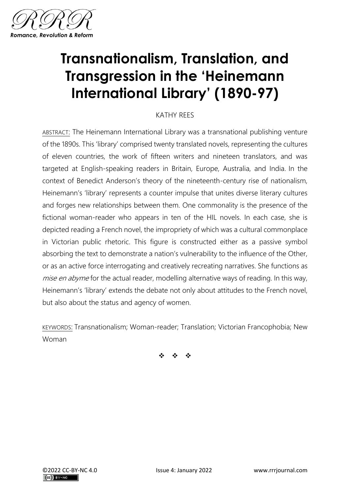

# **Transnationalism, Translation, and Transgression in the 'Heinemann International Library' (1890-97)**

# KATHY REES

ABSTRACT: The Heinemann International Library was a transnational publishing venture of the 1890s. This 'library' comprised twenty translated novels, representing the cultures of eleven countries, the work of fifteen writers and nineteen translators, and was targeted at English-speaking readers in Britain, Europe, Australia, and India. In the context of Benedict Anderson's theory of the nineteenth-century rise of nationalism, Heinemann's 'library' represents a counter impulse that unites diverse literary cultures and forges new relationships between them. One commonality is the presence of the fictional woman-reader who appears in ten of the HIL novels. In each case, she is depicted reading a French novel, the impropriety of which was a cultural commonplace in Victorian public rhetoric. This figure is constructed either as a passive symbol absorbing the text to demonstrate a nation's vulnerability to the influence of the Other, or as an active force interrogating and creatively recreating narratives. She functions as mise en abyme for the actual reader, modelling alternative ways of reading. In this way, Heinemann's 'library' extends the debate not only about attitudes to the French novel, but also about the status and agency of women.

KEYWORDS: Transnationalism; Woman-reader; Translation; Victorian Francophobia; New Woman

❖ ❖ ❖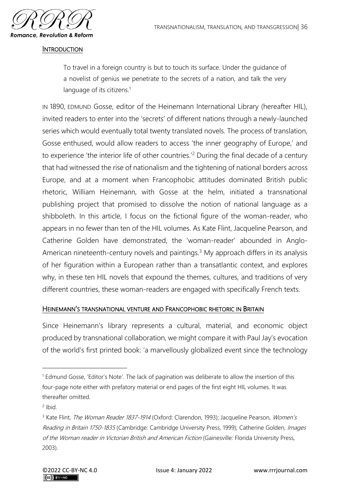

#### **INTRODUCTION**

To travel in a foreign country is but to touch its surface. Under the guidance of a novelist of genius we penetrate to the secrets of a nation, and talk the very language of its citizens.<sup>1</sup>

IN 1890, EDMUND Gosse, editor of the Heinemann International Library (hereafter HIL), invited readers to enter into the 'secrets' of different nations through a newly-launched series which would eventually total twenty translated novels. The process of translation, Gosse enthused, would allow readers to access 'the inner geography of Europe,' and to experience 'the interior life of other countries.'<sup>2</sup> During the final decade of a century that had witnessed the rise of nationalism and the tightening of national borders across Europe, and at a moment when Francophobic attitudes dominated British public rhetoric, William Heinemann, with Gosse at the helm, initiated a transnational publishing project that promised to dissolve the notion of national language as a shibboleth. In this article, I focus on the fictional figure of the woman-reader, who appears in no fewer than ten of the HIL volumes. As Kate Flint, Jacqueline Pearson, and Catherine Golden have demonstrated, the 'woman-reader' abounded in Anglo-American nineteenth-century novels and paintings.<sup>3</sup> My approach differs in its analysis of her figuration within a European rather than a transatlantic context, and explores why, in these ten HIL novels that expound the themes, cultures, and traditions of very different countries, these woman-readers are engaged with specifically French texts.

## HEINEMANN'S TRANSNATIONAL VENTURE AND FRANCOPHOBIC RHETORIC IN BRITAIN

Since Heinemann's library represents a cultural, material, and economic object produced by transnational collaboration, we might compare it with Paul Jay's evocation of the world's first printed book: 'a marvellously globalized event since the technology

<sup>&</sup>lt;sup>1</sup> Edmund Gosse, 'Editor's Note'. The lack of pagination was deliberate to allow the insertion of this four-page note either with prefatory material or end pages of the first eight HIL volumes. It was thereafter omitted.

 $2$  Ibid.

<sup>&</sup>lt;sup>3</sup> Kate Flint, The Woman Reader 1837-1914 (Oxford: Clarendon, 1993); Jacqueline Pearson, Women's Reading in Britain 1750-1835 (Cambridge: Cambridge University Press, 1999); Catherine Golden, Images of the Woman reader in Victorian British and American Fiction (Gainesville: Florida University Press, 2003).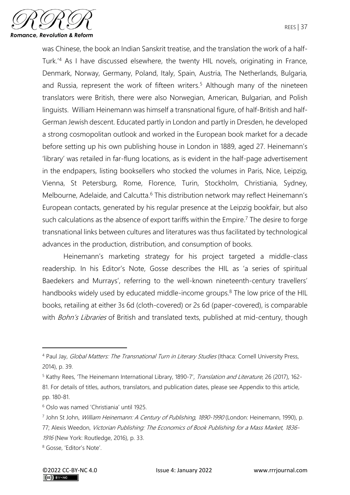

was Chinese, the book an Indian Sanskrit treatise, and the translation the work of a half-Turk.'<sup>4</sup> As I have discussed elsewhere, the twenty HIL novels, originating in France, Denmark, Norway, Germany, Poland, Italy, Spain, Austria, The Netherlands, Bulgaria, and Russia, represent the work of fifteen writers.<sup>5</sup> Although many of the nineteen translators were British, there were also Norwegian, American, Bulgarian, and Polish linguists. William Heinemann was himself a transnational figure, of half-British and half-German Jewish descent. Educated partly in London and partly in Dresden, he developed a strong cosmopolitan outlook and worked in the European book market for a decade before setting up his own publishing house in London in 1889, aged 27. Heinemann's 'library' was retailed in far-flung locations, as is evident in the half-page advertisement in the endpapers, listing booksellers who stocked the volumes in Paris, Nice, Leipzig, Vienna, St Petersburg, Rome, Florence, Turin, Stockholm, Christiania, Sydney, Melbourne, Adelaide, and Calcutta.<sup>6</sup> This distribution network may reflect Heinemann's European contacts, generated by his regular presence at the Leipzig bookfair, but also such calculations as the absence of export tariffs within the Empire.<sup>7</sup> The desire to forge transnational links between cultures and literatures was thus facilitated by technological advances in the production, distribution, and consumption of books.

Heinemann's marketing strategy for his project targeted a middle-class readership. In his Editor's Note, Gosse describes the HIL as 'a series of spiritual Baedekers and Murrays', referring to the well-known nineteenth-century travellers' handbooks widely used by educated middle-income groups.<sup>8</sup> The low price of the HIL books, retailing at either 3s 6d (cloth-covered) or 2s 6d (paper-covered), is comparable with Bohn's Libraries of British and translated texts, published at mid-century, though

<sup>4</sup> Paul Jay, Global Matters: The Transnational Turn in Literary Studies (Ithaca: Cornell University Press, 2014), p. 39.

<sup>5</sup> Kathy Rees, 'The Heinemann International Library, 1890-7', Translation and Literature, 26 (2017), 162- 81. For details of titles, authors, translators, and publication dates, please see Appendix to this article, pp. 180-81.

<sup>6</sup> Oslo was named 'Christiania' until 1925.

<sup>&</sup>lt;sup>7</sup> John St John, *William Heinemann: A Century of Publishing, 1890-1990* (London: Heinemann, 1990), p. 77; Alexis Weedon, Victorian Publishing: The Economics of Book Publishing for a Mass Market, 1836- 1916 (New York: Routledge, 2016), p. 33.

<sup>8</sup> Gosse, 'Editor's Note'.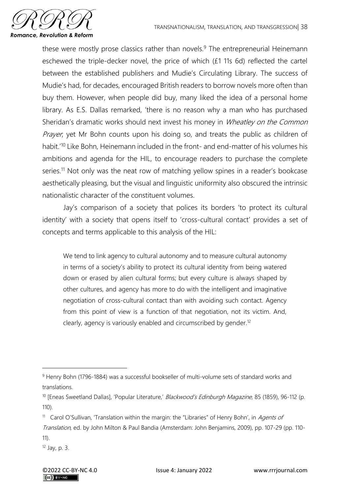

these were mostly prose classics rather than novels.<sup>9</sup> The entrepreneurial Heinemann eschewed the triple-decker novel, the price of which (£1 11s 6d) reflected the cartel between the established publishers and Mudie's Circulating Library. The success of Mudie's had, for decades, encouraged British readers to borrow novels more often than buy them. However, when people did buy, many liked the idea of a personal home library. As E.S. Dallas remarked, 'there is no reason why a man who has purchased Sheridan's dramatic works should next invest his money in Wheatley on the Common Prayer, yet Mr Bohn counts upon his doing so, and treats the public as children of habit.'<sup>10</sup> Like Bohn, Heinemann included in the front- and end-matter of his volumes his ambitions and agenda for the HIL, to encourage readers to purchase the complete series.<sup>11</sup> Not only was the neat row of matching yellow spines in a reader's bookcase aesthetically pleasing, but the visual and linguistic uniformity also obscured the intrinsic nationalistic character of the constituent volumes.

Jay's comparison of a society that polices its borders 'to protect its cultural identity' with a society that opens itself to 'cross-cultural contact' provides a set of concepts and terms applicable to this analysis of the HIL:

We tend to link agency to cultural autonomy and to measure cultural autonomy in terms of a society's ability to protect its cultural identity from being watered down or erased by alien cultural forms; but every culture is always shaped by other cultures, and agency has more to do with the intelligent and imaginative negotiation of cross-cultural contact than with avoiding such contact. Agency from this point of view is a function of that negotiation, not its victim. And, clearly, agency is variously enabled and circumscribed by gender.<sup>12</sup>

<sup>&</sup>lt;sup>9</sup> Henry Bohn (1796-1884) was a successful bookseller of multi-volume sets of standard works and translations.

<sup>&</sup>lt;sup>10</sup> [Eneas Sweetland Dallas], 'Popular Literature,' Blackwood's Edinburgh Magazine, 85 (1859), 96-112 (p. 110).

<sup>&</sup>lt;sup>11</sup> Carol O'Sullivan, 'Translation within the margin: the "Libraries" of Henry Bohn', in Agents of Translation, ed. by John Milton & Paul Bandia (Amsterdam: John Benjamins, 2009), pp. 107-29 (pp. 110- 11).

<sup>12</sup> Jay, p. 3.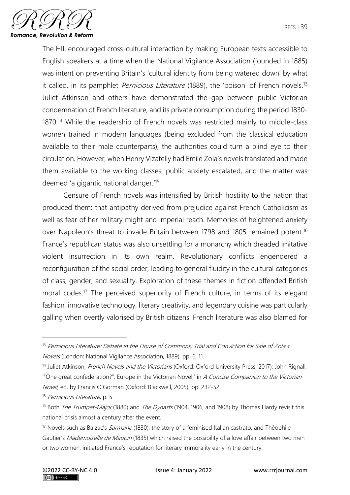

The HIL encouraged cross-cultural interaction by making European texts accessible to English speakers at a time when the National Vigilance Association (founded in 1885) was intent on preventing Britain's 'cultural identity from being watered down' by what it called, in its pamphlet *Pernicious Literature* (1889), the 'poison' of French novels.<sup>13</sup> Juliet Atkinson and others have demonstrated the gap between public Victorian condemnation of French literature, and its private consumption during the period 1830- 1870.<sup>14</sup> While the readership of French novels was restricted mainly to middle-class women trained in modern languages (being excluded from the classical education available to their male counterparts), the authorities could turn a blind eye to their circulation. However, when Henry Vizatelly had Emile Zola's novels translated and made them available to the working classes, public anxiety escalated, and the matter was deemed 'a gigantic national danger.'<sup>15</sup>

Censure of French novels was intensified by British hostility to the nation that produced them: that antipathy derived from prejudice against French Catholicism as well as fear of her military might and imperial reach. Memories of heightened anxiety over Napoleon's threat to invade Britain between 1798 and 1805 remained potent.<sup>16</sup> France's republican status was also unsettling for a monarchy which dreaded imitative violent insurrection in its own realm. Revolutionary conflicts engendered a reconfiguration of the social order, leading to general fluidity in the cultural categories of class, gender, and sexuality. Exploration of these themes in fiction offended British moral codes.<sup>17</sup> The perceived superiority of French culture, in terms of its elegant fashion, innovative technology, literary creativity, and legendary cuisine was particularly galling when overtly valorised by British citizens. French literature was also blamed for

<sup>15</sup> Pernicious Literature, p. 5.

 $13$  Pernicious Literature: Debate in the House of Commons; Trial and Conviction for Sale of Zola's Novels (London: National Vigilance Association, 1889), pp. 6, 11.

<sup>&</sup>lt;sup>14</sup> Juliet Atkinson, French Novels and the Victorians (Oxford: Oxford University Press, 2017); John Rignall, '"One great confederation?": Europe in the Victorian Novel,' in A Concise Companion to the Victorian Novel, ed. by Francis O'Gorman (Oxford: Blackwell, 2005), pp. 232-52.

<sup>&</sup>lt;sup>16</sup> Both *The Trumpet-Major* (1880) and *The Dynasts* (1904, 1906, and 1908) by Thomas Hardy revisit this national crisis almost a century after the event.

<sup>&</sup>lt;sup>17</sup> Novels such as Balzac's *Sarmsine* (1830), the story of a feminised Italian castrato, and Théophile Gautier's Mademoiselle de Maupin (1835) which raised the possibility of a love affair between two men or two women, initiated France's reputation for literary immorality early in the century.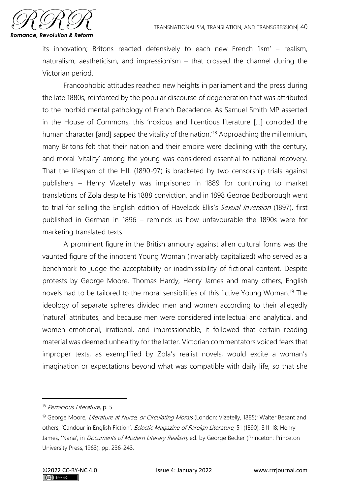

its innovation; Britons reacted defensively to each new French 'ism' – realism, naturalism, aestheticism, and impressionism – that crossed the channel during the Victorian period.

Francophobic attitudes reached new heights in parliament and the press during the late 1880s, reinforced by the popular discourse of degeneration that was attributed to the morbid mental pathology of French Decadence. As Samuel Smith MP asserted in the House of Commons, this 'noxious and licentious literature […] corroded the human character [and] sapped the vitality of the nation.<sup>'18</sup> Approaching the millennium, many Britons felt that their nation and their empire were declining with the century, and moral 'vitality' among the young was considered essential to national recovery. That the lifespan of the HIL (1890-97) is bracketed by two censorship trials against publishers – Henry Vizetelly was imprisoned in 1889 for continuing to market translations of Zola despite his 1888 conviction, and in 1898 George Bedborough went to trial for selling the English edition of Havelock Ellis's Sexual Inversion (1897), first published in German in 1896 – reminds us how unfavourable the 1890s were for marketing translated texts.

A prominent figure in the British armoury against alien cultural forms was the vaunted figure of the innocent Young Woman (invariably capitalized) who served as a benchmark to judge the acceptability or inadmissibility of fictional content. Despite protests by George Moore, Thomas Hardy, Henry James and many others, English novels had to be tailored to the moral sensibilities of this fictive Young Woman.<sup>19</sup> The ideology of separate spheres divided men and women according to their allegedly 'natural' attributes, and because men were considered intellectual and analytical, and women emotional, irrational, and impressionable, it followed that certain reading material was deemed unhealthy for the latter. Victorian commentators voiced fears that improper texts, as exemplified by Zola's realist novels, would excite a woman's imagination or expectations beyond what was compatible with daily life, so that she

<sup>&</sup>lt;sup>18</sup> Pernicious Literature, p. 5.

<sup>&</sup>lt;sup>19</sup> George Moore, Literature at Nurse, or Circulating Morals (London: Vizetelly, 1885); Walter Besant and others, 'Candour in English Fiction', *Eclectic Magazine of Foreign Literature*, 51 (1890), 311-18; Henry James, 'Nana', in *Documents of Modern Literary Realism*, ed. by George Becker (Princeton: Princeton University Press, 1963), pp. 236-243.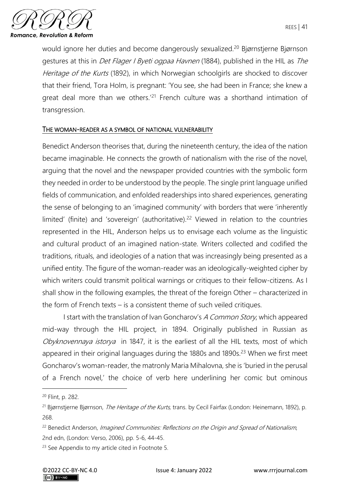would ignore her duties and become dangerously sexualized.<sup>20</sup> Bjørnstjerne Bjørnson gestures at this in *Det Flager I Byeti ogpaa Havnen* (1884), published in the HIL as *The* Heritage of the Kurts (1892), in which Norwegian schoolgirls are shocked to discover that their friend, Tora Holm, is pregnant: 'You see, she had been in France; she knew a great deal more than we others.'<sup>21</sup> French culture was a shorthand intimation of transgression.

### THE WOMAN-READER AS A SYMBOL OF NATIONAL VULNERABILITY

Benedict Anderson theorises that, during the nineteenth century, the idea of the nation became imaginable. He connects the growth of nationalism with the rise of the novel, arguing that the novel and the newspaper provided countries with the symbolic form they needed in order to be understood by the people. The single print language unified fields of communication, and enfolded readerships into shared experiences, generating the sense of belonging to an 'imagined community' with borders that were 'inherently limited' (finite) and 'sovereign' (authoritative).<sup>22</sup> Viewed in relation to the countries represented in the HIL, Anderson helps us to envisage each volume as the linguistic and cultural product of an imagined nation-state. Writers collected and codified the traditions, rituals, and ideologies of a nation that was increasingly being presented as a unified entity. The figure of the woman-reader was an ideologically-weighted cipher by which writers could transmit political warnings or critiques to their fellow-citizens. As I shall show in the following examples, the threat of the foreign Other – characterized in the form of French texts – is a consistent theme of such veiled critiques.

I start with the translation of Ivan Goncharov's A Common Story, which appeared mid-way through the HIL project, in 1894. Originally published in Russian as Obyknovennaya istorya in 1847, it is the earliest of all the HIL texts, most of which appeared in their original languages during the 1880s and 1890s.<sup>23</sup> When we first meet Goncharov's woman-reader, the matronly Maria Mihalovna, she is 'buried in the perusal of a French novel,' the choice of verb here underlining her comic but ominous

<sup>20</sup> Flint, p. 282.

<sup>&</sup>lt;sup>21</sup> Bjørnstjerne Bjørnson, *The Heritage of the Kurts*, trans. by Cecil Fairfax (London: Heinemann, 1892), p. 268.

<sup>&</sup>lt;sup>22</sup> Benedict Anderson, Imagined Communities: Reflections on the Origin and Spread of Nationalism, 2nd edn, (London: Verso, 2006), pp. 5-6, 44-45.

<sup>&</sup>lt;sup>23</sup> See Appendix to my article cited in Footnote 5.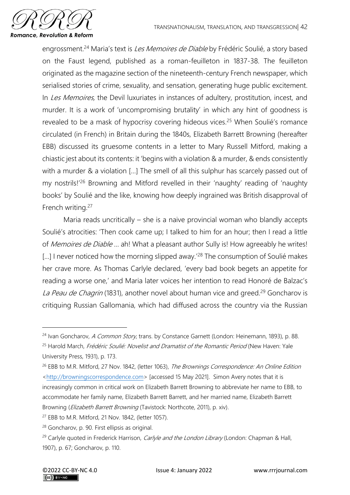

engrossment.<sup>24</sup> Maria's text is *Les Memoires de Diable* by Frédéric Soulié, a story based on the Faust legend, published as a roman-feuilleton in 1837-38. The feuilleton originated as the magazine section of the nineteenth-century French newspaper, which serialised stories of crime, sexuality, and sensation, generating huge public excitement. In Les Memoires, the Devil luxuriates in instances of adultery, prostitution, incest, and murder. It is a work of 'uncompromising brutality' in which any hint of goodness is revealed to be a mask of hypocrisy covering hideous vices.<sup>25</sup> When Soulié's romance circulated (in French) in Britain during the 1840s, Elizabeth Barrett Browning (hereafter EBB) discussed its gruesome contents in a letter to Mary Russell Mitford, making a chiastic jest about its contents: it 'begins with a violation & a murder, & ends consistently with a murder & a violation [...] The smell of all this sulphur has scarcely passed out of my nostrils!'<sup>26</sup> Browning and Mitford revelled in their 'naughty' reading of 'naughty books' by Soulié and the like, knowing how deeply ingrained was British disapproval of French writing.<sup>27</sup>

Maria reads uncritically – she is a naive provincial woman who blandly accepts Soulié's atrocities: 'Then cook came up; I talked to him for an hour; then I read a little of Memoires de Diable ... ah! What a pleasant author Sully is! How agreeably he writes! [...] I never noticed how the morning slipped away.<sup>'28</sup> The consumption of Soulié makes her crave more. As Thomas Carlyle declared, 'every bad book begets an appetite for reading a worse one,' and Maria later voices her intention to read Honoré de Balzac's La Peau de Chagrin (1831), another novel about human vice and greed.<sup>29</sup> Goncharov is critiquing Russian Gallomania, which had diffused across the country via the Russian

<sup>&</sup>lt;sup>24</sup> Ivan Goncharov, A Common Story, trans. by Constance Garnett (London: Heinemann, 1893), p. 88. <sup>25</sup> Harold March, *Frédéric Soulié: Novelist and Dramatist of the Romantic Period* (New Haven: Yale University Press, 1931), p. 173.

<sup>&</sup>lt;sup>26</sup> EBB to M.R. Mitford, 27 Nov. 1842, (letter 1063), The Brownings Correspondence: An Online Edition [<http://browningscorrespondence.com>](http://browningscorrespondence.com/) [accessed 15 May 2021]. Simon Avery notes that it is increasingly common in critical work on Elizabeth Barrett Browning to abbreviate her name to EBB, to accommodate her family name, Elizabeth Barrett Barrett, and her married name, Elizabeth Barrett Browning (*Elizabeth Barrett Browning* (Tavistock: Northcote, 2011), p. xiv).

<sup>27</sup> EBB to M.R. Mitford, 21 Nov. 1842, (letter 1057).

<sup>28</sup> Goncharov, p. 90. First ellipsis as original.

<sup>&</sup>lt;sup>29</sup> Carlyle quoted in Frederick Harrison, *Carlyle and the London Library* (London: Chapman & Hall, 1907), p. 67; Goncharov, p. 110.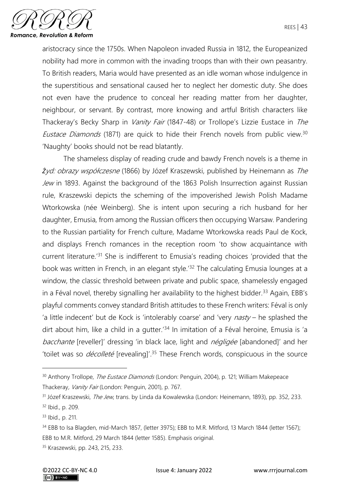

aristocracy since the 1750s. When Napoleon invaded Russia in 1812, the Europeanized nobility had more in common with the invading troops than with their own peasantry. To British readers, Maria would have presented as an idle woman whose indulgence in the superstitious and sensational caused her to neglect her domestic duty. She does not even have the prudence to conceal her reading matter from her daughter, neighbour, or servant. By contrast, more knowing and artful British characters like Thackeray's Becky Sharp in *Vanity Fair* (1847-48) or Trollope's Lizzie Eustace in The Eustace Diamonds (1871) are quick to hide their French novels from public view.<sup>30</sup> 'Naughty' books should not be read blatantly.

The shameless display of reading crude and bawdy French novels is a theme in *Ż*yd: obrazy współczesne (1866) by Józef Kraszewski, published by Heinemann as The Jew in 1893. Against the background of the 1863 Polish Insurrection against Russian rule, Kraszewski depicts the scheming of the impoverished Jewish Polish Madame Wtorkowska (née Weinberg). She is intent upon securing a rich husband for her daughter, Emusia, from among the Russian officers then occupying Warsaw. Pandering to the Russian partiality for French culture, Madame Wtorkowska reads Paul de Kock, and displays French romances in the reception room 'to show acquaintance with current literature.'<sup>31</sup> She is indifferent to Emusia's reading choices 'provided that the book was written in French, in an elegant style.<sup>'32</sup> The calculating Emusia lounges at a window, the classic threshold between private and public space, shamelessly engaged in a Féval novel, thereby signalling her availability to the highest bidder.<sup>33</sup> Again, EBB's playful comments convey standard British attitudes to these French writers: Féval is only 'a little indecent' but de Kock is 'intolerably coarse' and 'very  $nasty -$  he splashed the dirt about him, like a child in a gutter.<sup>'34</sup> In imitation of a Féval heroine, Emusia is 'a bacchante [reveller]' dressing 'in black lace, light and *négligée* [abandoned]' and her 'toilet was so *décolleté* [revealing]'.<sup>35</sup> These French words, conspicuous in the source

<sup>&</sup>lt;sup>30</sup> Anthony Trollope, *The Eustace Diamonds* (London: Penguin, 2004), p. 121; William Makepeace Thackeray, Vanity Fair (London: Penguin, 2001), p. 767.

<sup>&</sup>lt;sup>31</sup> Józef Kraszewski, *The Jew*, trans. by Linda da Kowalewska (London: Heinemann, 1893), pp. 352, 233. <sup>32</sup> Ibid., p. 209.

<sup>33</sup> Ibid., p. 211.

<sup>&</sup>lt;sup>34</sup> EBB to Isa Blagden, mid-March 1857, (letter 3975); EBB to M.R. Mitford, 13 March 1844 (letter 1567); EBB to M.R. Mitford, 29 March 1844 (letter 1585). Emphasis original.

<sup>35</sup> Kraszewski, pp. 243, 215, 233.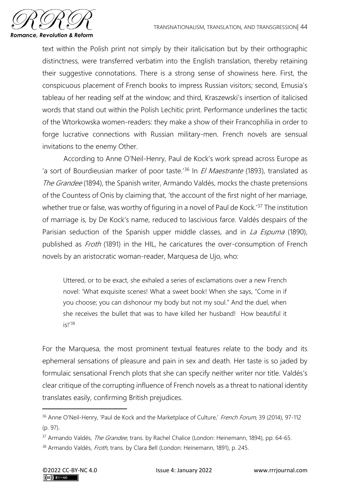

text within the Polish print not simply by their italicisation but by their orthographic distinctness, were transferred verbatim into the English translation, thereby retaining their suggestive connotations. There is a strong sense of showiness here. First, the conspicuous placement of French books to impress Russian visitors; second, Emusia's tableau of her reading self at the window; and third, Kraszewski's insertion of italicised words that stand out within the Polish Lechitic print. Performance underlines the tactic of the Wtorkowska women-readers: they make a show of their Francophilia in order to forge lucrative connections with Russian military-men. French novels are sensual invitations to the enemy Other.

According to Anne O'Neil-Henry, Paul de Kock's work spread across Europe as 'a sort of Bourdieusian marker of poor taste.<sup>'36</sup> In *El Maestrante* (1893), translated as The Grandee (1894), the Spanish writer, Armando Valdés, mocks the chaste pretensions of the Countess of Onis by claiming that, 'the account of the first night of her marriage, whether true or false, was worthy of figuring in a novel of Paul de Kock.<sup>'37</sup> The institution of marriage is, by De Kock's name, reduced to lascivious farce. Valdés despairs of the Parisian seduction of the Spanish upper middle classes, and in La Espuma (1890), published as *Froth* (1891) in the HIL, he caricatures the over-consumption of French novels by an aristocratic woman-reader, Marquesa de Ujo, who:

Uttered, or to be exact, she exhaled a series of exclamations over a new French novel: 'What exquisite scenes! What a sweet book! When she says, "Come in if you choose; you can dishonour my body but not my soul." And the duel, when she receives the bullet that was to have killed her husband! How beautiful it is<sup>138</sup>

For the Marquesa, the most prominent textual features relate to the body and its ephemeral sensations of pleasure and pain in sex and death. Her taste is so jaded by formulaic sensational French plots that she can specify neither writer nor title. Valdés's clear critique of the corrupting influence of French novels as a threat to national identity translates easily, confirming British prejudices.

<sup>&</sup>lt;sup>36</sup> Anne O'Neil-Henry, 'Paul de Kock and the Marketplace of Culture,' French Forum, 39 (2014), 97-112 (p. 97).

<sup>&</sup>lt;sup>37</sup> Armando Valdés, *The Grandee,* trans. by Rachel Chalice (London: Heinemann, 1894), pp. 64-65.

<sup>38</sup> Armando Valdés, Froth, trans. by Clara Bell (London: Heinemann, 1891), p. 245.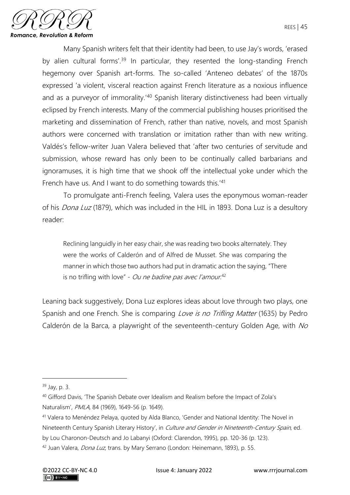

Many Spanish writers felt that their identity had been, to use Jay's words, 'erased by alien cultural forms<sup>', 39</sup> In particular, they resented the long-standing French hegemony over Spanish art-forms. The so-called 'Anteneo debates' of the 1870s expressed 'a violent, visceral reaction against French literature as a noxious influence and as a purveyor of immorality.<sup>'40</sup> Spanish literary distinctiveness had been virtually eclipsed by French interests. Many of the commercial publishing houses prioritised the marketing and dissemination of French, rather than native, novels, and most Spanish authors were concerned with translation or imitation rather than with new writing. Valdés's fellow-writer Juan Valera believed that 'after two centuries of servitude and submission, whose reward has only been to be continually called barbarians and ignoramuses, it is high time that we shook off the intellectual yoke under which the French have us. And I want to do something towards this.'<sup>41</sup>

To promulgate anti-French feeling, Valera uses the eponymous woman-reader of his *Dona Luz* (1879), which was included in the HIL in 1893. Dona Luz is a desultory reader:

Reclining languidly in her easy chair, she was reading two books alternately. They were the works of Calderón and of Alfred de Musset. She was comparing the manner in which those two authors had put in dramatic action the saying, "There is no trifling with love" - *Ou ne badine pas avec l'amour.*<sup>42</sup>

Leaning back suggestively, Dona Luz explores ideas about love through two plays, one Spanish and one French. She is comparing *Love is no Trifling Matter* (1635) by Pedro Calderón de la Barca, a playwright of the seventeenth-century Golden Age, with No

<sup>39</sup> Jay, p. 3.

<sup>&</sup>lt;sup>40</sup> Gifford Davis, 'The Spanish Debate over Idealism and Realism before the Impact of Zola's Naturalism', PMLA, 84 (1969), 1649-56 (p. 1649).

<sup>41</sup> Valera to Menéndez Pelaya, quoted by Alda Blanco, 'Gender and National Identity: The Novel in Nineteenth Century Spanish Literary History', in Culture and Gender in Nineteenth-Century Spain, ed.

by Lou Charonon-Deutsch and Jo Labanyi (Oxford: Clarendon, 1995), pp. 120-36 (p. 123).

<sup>&</sup>lt;sup>42</sup> Juan Valera, *Dona Luz*, trans. by Mary Serrano (London: Heinemann, 1893), p. 55.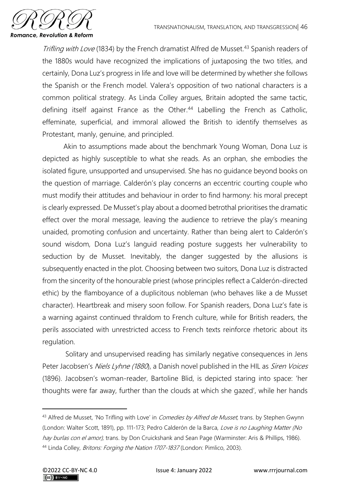

Trifling with Love (1834) by the French dramatist Alfred de Musset.<sup>43</sup> Spanish readers of the 1880s would have recognized the implications of juxtaposing the two titles, and certainly, Dona Luz's progress in life and love will be determined by whether she follows the Spanish or the French model. Valera's opposition of two national characters is a common political strategy. As Linda Colley argues, Britain adopted the same tactic, defining itself against France as the Other.<sup>44</sup> Labelling the French as Catholic, effeminate, superficial, and immoral allowed the British to identify themselves as Protestant, manly, genuine, and principled.

Akin to assumptions made about the benchmark Young Woman, Dona Luz is depicted as highly susceptible to what she reads. As an orphan, she embodies the isolated figure, unsupported and unsupervised. She has no guidance beyond books on the question of marriage. Calderón's play concerns an eccentric courting couple who must modify their attitudes and behaviour in order to find harmony: his moral precept is clearly expressed. De Musset's play about a doomed betrothal prioritises the dramatic effect over the moral message, leaving the audience to retrieve the play's meaning unaided, promoting confusion and uncertainty. Rather than being alert to Calderón's sound wisdom, Dona Luz's languid reading posture suggests her vulnerability to seduction by de Musset. Inevitably, the danger suggested by the allusions is subsequently enacted in the plot. Choosing between two suitors, Dona Luz is distracted from the sincerity of the honourable priest (whose principles reflect a Calderón-directed ethic) by the flamboyance of a duplicitous nobleman (who behaves like a de Musset character). Heartbreak and misery soon follow. For Spanish readers, Dona Luz's fate is a warning against continued thraldom to French culture, while for British readers, the perils associated with unrestricted access to French texts reinforce rhetoric about its regulation.

Solitary and unsupervised reading has similarly negative consequences in Jens Peter Jacobsen's Niels Lyhne (1880), a Danish novel published in the HIL as Siren Voices (1896). Jacobsen's woman-reader, Bartoline Blid, is depicted staring into space: 'her thoughts were far away, further than the clouds at which she gazed', while her hands

<sup>&</sup>lt;sup>43</sup> Alfred de Musset, 'No Trifling with Love' in *Comedies by Alfred de Musset*, trans. by Stephen Gwynn (London: Walter Scott, 1891), pp. 111-173; Pedro Calderón de la Barca, Love is no Laughing Matter (No hay burlas con el amor), trans. by Don Cruickshank and Sean Page (Warminster: Aris & Phillips, 1986). <sup>44</sup> Linda Colley, *Britons: Forging the Nation 1707-1837* (London: Pimlico, 2003).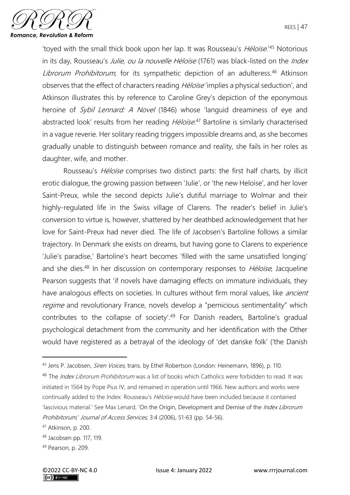

'toyed with the small thick book upon her lap. It was Rousseau's *Héloïse*.<sup>'45</sup> Notorious in its day, Rousseau's *Julie, ou la nouvelle Héloïse* (1761) was black-listed on the *Index* Librorum Prohibitorum, for its sympathetic depiction of an adulteress.<sup>46</sup> Atkinson observes that the effect of characters reading *Héloïse* 'implies a physical seduction', and Atkinson illustrates this by reference to Caroline Grey's depiction of the eponymous heroine of *Sybil Lennard: A Novel* (1846) whose 'languid dreaminess of eye and abstracted look' results from her reading *Héloïse*.<sup>47</sup> Bartoline is similarly characterised in a vague reverie. Her solitary reading triggers impossible dreams and, as she becomes gradually unable to distinguish between romance and reality, she fails in her roles as daughter, wife, and mother.

Rousseau's *Héloïse* comprises two distinct parts: the first half charts, by illicit erotic dialogue, the growing passion between 'Julie', or 'the new Heloise', and her lover Saint-Preux, while the second depicts Julie's dutiful marriage to Wolmar and their highly-regulated life in the Swiss village of Clarens. The reader's belief in Julie's conversion to virtue is, however, shattered by her deathbed acknowledgement that her love for Saint-Preux had never died. The life of Jacobsen's Bartoline follows a similar trajectory. In Denmark she exists on dreams, but having gone to Clarens to experience 'Julie's paradise,' Bartoline's heart becomes 'filled with the same unsatisfied longing' and she dies.<sup>48</sup> In her discussion on contemporary responses to *Héloïse*, Jacqueline Pearson suggests that 'if novels have damaging effects on immature individuals, they have analogous effects on societies. In cultures without firm moral values, like *ancient* regime and revolutionary France, novels develop a "pernicious sentimentality" which contributes to the collapse of society'.<sup>49</sup> For Danish readers, Bartoline's gradual psychological detachment from the community and her identification with the Other would have registered as a betrayal of the ideology of 'det danske folk' ('the Danish

<sup>45</sup> Jens P. Jacobsen, *Siren Voices*, trans. by Ethel Robertson (London: Heinemann, 1896), p. 110.

<sup>&</sup>lt;sup>46</sup> The *Index Librorum Prohibitorum* was a list of books which Catholics were forbidden to read. It was initiated in 1564 by Pope Pius IV, and remained in operation until 1966. New authors and works were continually added to the Index: Rousseau's *Héloïse* would have been included because it contained 'lascivious material.' See Max Lenard, 'On the Origin, Development and Demise of the Index Librorum Prohibitorum,' Journal of Access Services, 3:4 (2006), 51-63 (pp. 54-56).

<sup>47</sup> Atkinson, p. 200.

<sup>48</sup> Jacobsen pp. 117, 119.

<sup>49</sup> Pearson, p. 209.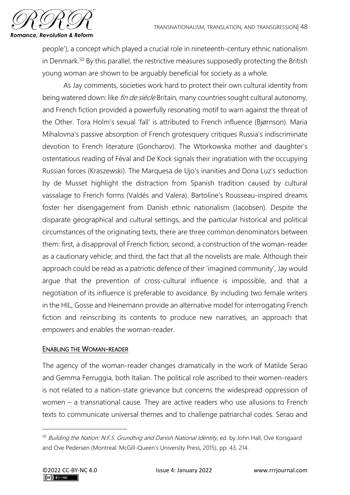

people'), a concept which played a crucial role in nineteenth-century ethnic nationalism in Denmark.<sup>50</sup> By this parallel, the restrictive measures supposedly protecting the British young woman are shown to be arguably beneficial for society as a whole.

As Jay comments, societies work hard to protect their own cultural identity from being watered down: like *fin de siècle* Britain, many countries sought cultural autonomy, and French fiction provided a powerfully resonating motif to warn against the threat of the Other. Tora Holm's sexual 'fall' is attributed to French influence (Bjørnson). Maria Mihalovna's passive absorption of French grotesquery critiques Russia's indiscriminate devotion to French literature (Goncharov). The Wtorkowska mother and daughter's ostentatious reading of Féval and De Kock signals their ingratiation with the occupying Russian forces (Kraszewski). The Marquesa de Ujo's inanities and Dona Luz's seduction by de Musset highlight the distraction from Spanish tradition caused by cultural vassalage to French forms (Valdés and Valera). Bartoline's Rousseau-inspired dreams foster her disengagement from Danish ethnic nationalism (Jacobsen). Despite the disparate geographical and cultural settings, and the particular historical and political circumstances of the originating texts, there are three common denominators between them: first, a disapproval of French fiction; second, a construction of the woman-reader as a cautionary vehicle; and third, the fact that all the novelists are male. Although their approach could be read as a patriotic defence of their 'imagined community', Jay would argue that the prevention of cross-cultural influence is impossible, and that a negotiation of its influence is preferable to avoidance. By including two female writers in the HIL, Gosse and Heinemann provide an alternative model for interrogating French fiction and reinscribing its contents to produce new narratives, an approach that empowers and enables the woman-reader.

### ENABLING THE WOMAN-READER

The agency of the woman-reader changes dramatically in the work of Matilde Serao and Gemma Ferruggia, both Italian. The political role ascribed to their women-readers is not related to a nation-state grievance but concerns the widespread oppression of women – a transnational cause. They are active readers who use allusions to French texts to communicate universal themes and to challenge patriarchal codes. Serao and

<sup>&</sup>lt;sup>50</sup> Building the Nation: N.F.S. Grundtvig and Danish National Identity, ed. by John Hall, Ove Korsgaard and Ove Pedersen (Montreal: McGill-Queen's University Press, 2015), pp. 43, 214.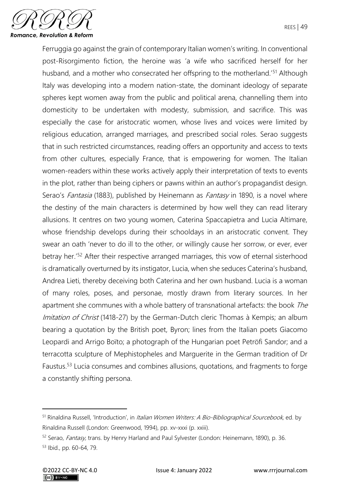

Ferruggia go against the grain of contemporary Italian women's writing. In conventional post-Risorgimento fiction, the heroine was 'a wife who sacrificed herself for her husband, and a mother who consecrated her offspring to the motherland.<sup>'51</sup> Although Italy was developing into a modern nation-state, the dominant ideology of separate spheres kept women away from the public and political arena, channelling them into domesticity to be undertaken with modesty, submission, and sacrifice. This was especially the case for aristocratic women, whose lives and voices were limited by religious education, arranged marriages, and prescribed social roles. Serao suggests that in such restricted circumstances, reading offers an opportunity and access to texts from other cultures, especially France, that is empowering for women. The Italian women-readers within these works actively apply their interpretation of texts to events in the plot, rather than being ciphers or pawns within an author's propagandist design. Serao's Fantasia (1883), published by Heinemann as Fantasy in 1890, is a novel where the destiny of the main characters is determined by how well they can read literary allusions. It centres on two young women, Caterina Spaccapietra and Lucia Altimare, whose friendship develops during their schooldays in an aristocratic convent. They swear an oath 'never to do ill to the other, or willingly cause her sorrow, or ever, ever betray her.'<sup>52</sup> After their respective arranged marriages, this vow of eternal sisterhood is dramatically overturned by its instigator, Lucia, when she seduces Caterina's husband, Andrea Lieti, thereby deceiving both Caterina and her own husband. Lucia is a woman of many roles, poses, and personae, mostly drawn from literary sources. In her apartment she communes with a whole battery of transnational artefacts: the book The Imitation of Christ (1418-27) by the German-Dutch cleric Thomas à Kempis; an album bearing a quotation by the British poet, Byron; lines from the Italian poets Giacomo Leopardi and Arrigo Boïto; a photograph of the Hungarian poet Petröfi Sandor; and a terracotta sculpture of Mephistopheles and Marguerite in the German tradition of Dr Faustus.<sup>53</sup> Lucia consumes and combines allusions, quotations, and fragments to forge a constantly shifting persona.

<sup>&</sup>lt;sup>51</sup> Rinaldina Russell, 'Introduction', in *Italian Women Writers: A Bio-Bibliographical Sourcebook*, ed. by Rinaldina Russell (London: Greenwood, 1994), pp. xv-xxxi (p. xxiii).

<sup>52</sup> Serao, Fantasy, trans. by Henry Harland and Paul Sylvester (London: Heinemann, 1890), p. 36. <sup>53</sup> Ibid., pp. 60-64, 79.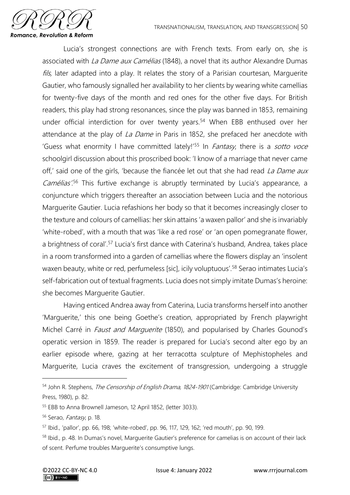

Lucia's strongest connections are with French texts. From early on, she is associated with *La Dame aux Camélias* (1848), a novel that its author Alexandre Dumas fils, later adapted into a play. It relates the story of a Parisian courtesan, Marquerite Gautier, who famously signalled her availability to her clients by wearing white camellias for twenty-five days of the month and red ones for the other five days. For British readers, this play had strong resonances, since the play was banned in 1853, remaining under official interdiction for over twenty years.<sup>54</sup> When EBB enthused over her attendance at the play of *La Dame* in Paris in 1852, she prefaced her anecdote with 'Guess what enormity I have committed lately!'<sup>55</sup> In *Fantasy*, there is a sotto voce schoolgirl discussion about this proscribed book: 'I know of a marriage that never came off,' said one of the girls, 'because the fiancée let out that she had read La Dame aux Camélias<sup>'56</sup> This furtive exchange is abruptly terminated by Lucia's appearance, a conjuncture which triggers thereafter an association between Lucia and the notorious Marguerite Gautier. Lucia refashions her body so that it becomes increasingly closer to the texture and colours of camellias: her skin attains 'a waxen pallor' and she is invariably 'white-robed', with a mouth that was 'like a red rose' or 'an open pomegranate flower, a brightness of coral'.<sup>57</sup> Lucia's first dance with Caterina's husband, Andrea, takes place in a room transformed into a garden of camellias where the flowers display an 'insolent waxen beauty, white or red, perfumeless [sic], icily voluptuous'.<sup>58</sup> Serao intimates Lucia's self-fabrication out of textual fragments. Lucia does not simply imitate Dumas's heroine: she becomes Marguerite Gautier.

Having enticed Andrea away from Caterina, Lucia transforms herself into another 'Marguerite,' this one being Goethe's creation, appropriated by French playwright Michel Carré in *Faust and Marguerite* (1850), and popularised by Charles Gounod's operatic version in 1859. The reader is prepared for Lucia's second alter ego by an earlier episode where, gazing at her terracotta sculpture of Mephistopheles and Marguerite, Lucia craves the excitement of transgression, undergoing a struggle

<sup>54</sup> John R. Stephens, The Censorship of English Drama, 1824-1901 (Cambridge: Cambridge University Press, 1980), p. 82.

<sup>55</sup> EBB to Anna Brownell Jameson, 12 April 1852, (letter 3033).

<sup>56</sup> Serao, Fantasy, p. 18.

<sup>57</sup> Ibid., 'pallor', pp. 66, 198; 'white-robed', pp. 96, 117, 129, 162; 'red mouth', pp. 90, 199.

<sup>58</sup> Ibid., p. 48. In Dumas's novel, Marguerite Gautier's preference for camelias is on account of their lack of scent. Perfume troubles Marguerite's consumptive lungs.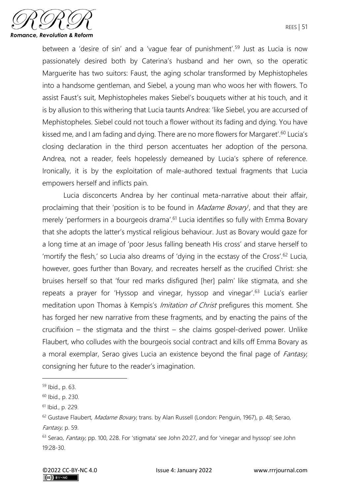

between a 'desire of sin' and a 'vague fear of punishment'.<sup>59</sup> Just as Lucia is now passionately desired both by Caterina's husband and her own, so the operatic Marguerite has two suitors: Faust, the aging scholar transformed by Mephistopheles into a handsome gentleman, and Siebel, a young man who woos her with flowers. To assist Faust's suit, Mephistopheles makes Siebel's bouquets wither at his touch, and it is by allusion to this withering that Lucia taunts Andrea: 'like Siebel, you are accursed of Mephistopheles. Siebel could not touch a flower without its fading and dying. You have kissed me, and I am fading and dying. There are no more flowers for Margaret'.<sup>60</sup> Lucia's closing declaration in the third person accentuates her adoption of the persona. Andrea, not a reader, feels hopelessly demeaned by Lucia's sphere of reference. Ironically, it is by the exploitation of male-authored textual fragments that Lucia empowers herself and inflicts pain.

Lucia disconcerts Andrea by her continual meta-narrative about their affair, proclaiming that their 'position is to be found in  $Madame$  Bovary', and that they are merely 'performers in a bourgeois drama'.<sup>61</sup> Lucia identifies so fully with Emma Bovary that she adopts the latter's mystical religious behaviour. Just as Bovary would gaze for a long time at an image of 'poor Jesus falling beneath His cross' and starve herself to 'mortify the flesh,' so Lucia also dreams of 'dying in the ecstasy of the Cross'.<sup>62</sup> Lucia, however, goes further than Bovary, and recreates herself as the crucified Christ: she bruises herself so that 'four red marks disfigured [her] palm' like stigmata, and she repeats a prayer for 'Hyssop and vinegar, hyssop and vinegar'.<sup>63</sup> Lucia's earlier meditation upon Thomas à Kempis's *Imitation of Christ* prefigures this moment. She has forged her new narrative from these fragments, and by enacting the pains of the crucifixion – the stigmata and the thirst – she claims gospel-derived power. Unlike Flaubert, who colludes with the bourgeois social contract and kills off Emma Bovary as a moral exemplar, Serao gives Lucia an existence beyond the final page of *Fantasy*, consigning her future to the reader's imagination.

<sup>59</sup> Ibid., p. 63.

<sup>60</sup> Ibid., p. 230.

<sup>61</sup> Ibid., p. 229.

<sup>&</sup>lt;sup>62</sup> Gustave Flaubert, Madame Bovary, trans. by Alan Russell (London: Penguin, 1967), p. 48; Serao, Fantasy, p. 59.

<sup>&</sup>lt;sup>63</sup> Serao, *Fantasy*, pp. 100, 228. For 'stigmata' see John 20:27, and for 'vinegar and hyssop' see John 19:28-30.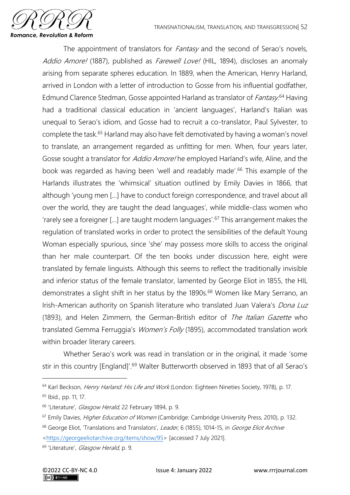

The appointment of translators for *Fantasy* and the second of Serao's novels, Addio Amore! (1887), published as Farewell Love! (HIL, 1894), discloses an anomaly arising from separate spheres education. In 1889, when the American, Henry Harland, arrived in London with a letter of introduction to Gosse from his influential godfather, Edmund Clarence Stedman, Gosse appointed Harland as translator of *Fantasy*.<sup>64</sup> Having had a traditional classical education in 'ancient languages', Harland's Italian was unequal to Serao's idiom, and Gosse had to recruit a co-translator, Paul Sylvester, to complete the task.<sup>65</sup> Harland may also have felt demotivated by having a woman's novel to translate, an arrangement regarded as unfitting for men. When, four years later, Gosse sought a translator for *Addio Amore!* he employed Harland's wife, Aline, and the book was regarded as having been 'well and readably made'. <sup>66</sup> This example of the Harlands illustrates the 'whimsical' situation outlined by Emily Davies in 1866, that although 'young men […] have to conduct foreign correspondence, and travel about all over the world, they are taught the dead languages', while middle-class women who 'rarely see a foreigner […] are taught modern languages'.<sup>67</sup> This arrangement makes the regulation of translated works in order to protect the sensibilities of the default Young Woman especially spurious, since 'she' may possess more skills to access the original than her male counterpart. Of the ten books under discussion here, eight were translated by female linguists. Although this seems to reflect the traditionally invisible and inferior status of the female translator, lamented by George Eliot in 1855, the HIL demonstrates a slight shift in her status by the 1890s.<sup>68</sup> Women like Mary Serrano, an Irish-American authority on Spanish literature who translated Juan Valera's Dona Luz (1893), and Helen Zimmern, the German-British editor of The Italian Gazette who translated Gemma Ferruggia's Women's Folly (1895), accommodated translation work within broader literary careers.

Whether Serao's work was read in translation or in the original, it made 'some stir in this country [England]'.<sup>69</sup> Walter Butterworth observed in 1893 that of all Serao's

<sup>&</sup>lt;sup>64</sup> Karl Beckson, Henry Harland: His Life and Work (London: Eighteen Nineties Society, 1978), p. 17.

<sup>65</sup> Ibid., pp. 11, 17.

<sup>&</sup>lt;sup>66</sup> 'Literature', Glasgow Herald, 22 February 1894, p. 9.

<sup>&</sup>lt;sup>67</sup> Emily Davies, *Higher Education of Women* (Cambridge: Cambridge University Press, 2010), p. 132.

<sup>&</sup>lt;sup>68</sup> George Eliot, 'Translations and Translators', Leader, 6 (1855), 1014-15, in George Eliot Archive [<https://georgeeliotarchive.org/items/show/95>](https://georgeeliotarchive.org/items/show/95) [accessed 7 July 2021].

<sup>&</sup>lt;sup>69</sup> 'Literature', Glasgow Herald, p. 9.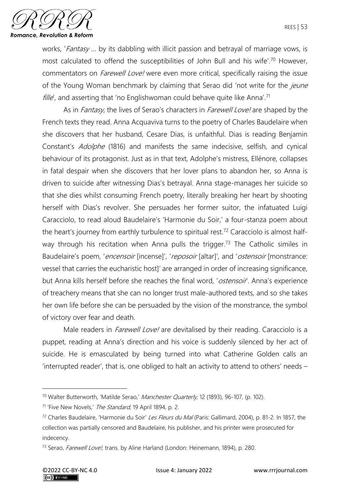

works, 'Fantasy ... by its dabbling with illicit passion and betrayal of marriage vows, is most calculated to offend the susceptibilities of John Bull and his wife'.<sup>70</sup> However, commentators on *Farewell Love!* were even more critical, specifically raising the issue of the Young Woman benchmark by claiming that Serao did 'not write for the jeune *fille'*, and asserting that 'no Englishwoman could behave quite like Anna'.<sup>71</sup>

As in *Fantasy*, the lives of Serao's characters in *Farewell Love!* are shaped by the French texts they read. Anna Acquaviva turns to the poetry of Charles Baudelaire when she discovers that her husband, Cesare Dias, is unfaithful. Dias is reading Benjamin Constant's *Adolphe* (1816) and manifests the same indecisive, selfish, and cynical behaviour of its protagonist. Just as in that text, Adolphe's mistress, Ellénore, collapses in fatal despair when she discovers that her lover plans to abandon her, so Anna is driven to suicide after witnessing Dias's betrayal. Anna stage-manages her suicide so that she dies whilst consuming French poetry, literally breaking her heart by shooting herself with Dias's revolver. She persuades her former suitor, the infatuated Luigi Caracciolo, to read aloud Baudelaire's 'Harmonie du Soir,' a four-stanza poem about the heart's journey from earthly turbulence to spiritual rest.<sup>72</sup> Caracciolo is almost halfway through his recitation when Anna pulls the trigger.<sup>73</sup> The Catholic similes in Baudelaire's poem, 'encensoir [incense]', 'reposoir [altar]', and 'ostensoir [monstrance: vessel that carries the eucharistic host]' are arranged in order of increasing significance, but Anna kills herself before she reaches the final word, '*ostensoir*'. Anna's experience of treachery means that she can no longer trust male-authored texts, and so she takes her own life before she can be persuaded by the vision of the monstrance, the symbol of victory over fear and death.

Male readers in *Farewell Love!* are devitalised by their reading. Caracciolo is a puppet, reading at Anna's direction and his voice is suddenly silenced by her act of suicide. He is emasculated by being turned into what Catherine Golden calls an 'interrupted reader', that is, one obliged to halt an activity to attend to others' needs –

<sup>&</sup>lt;sup>70</sup> Walter Butterworth, 'Matilde Serao,' Manchester Quarterly, 12 (1893), 96-107, (p. 102).

<sup>&</sup>lt;sup>71</sup> 'Five New Novels,' The Standard, 19 April 1894, p. 2.

<sup>&</sup>lt;sup>72</sup> Charles Baudelaire, 'Harmonie du Soir' Les Fleurs du Mal (Paris: Gallimard, 2004), p. 81-2. In 1857, the collection was partially censored and Baudelaire, his publisher, and his printer were prosecuted for indecency.

<sup>&</sup>lt;sup>73</sup> Serao, *Farewell Love!*, trans. by Aline Harland (London: Heinemann, 1894), p. 280.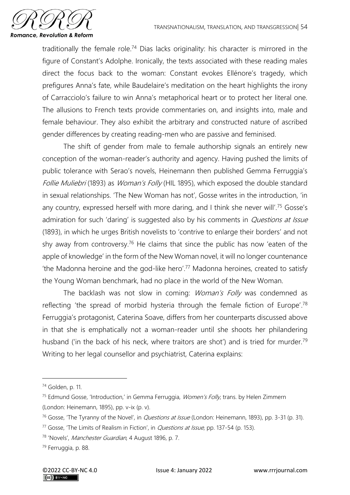

traditionally the female role.<sup>74</sup> Dias lacks originality: his character is mirrored in the figure of Constant's Adolphe. Ironically, the texts associated with these reading males direct the focus back to the woman: Constant evokes Ellénore's tragedy, which prefigures Anna's fate, while Baudelaire's meditation on the heart highlights the irony of Carracciolo's failure to win Anna's metaphorical heart or to protect her literal one. The allusions to French texts provide commentaries on, and insights into, male and female behaviour. They also exhibit the arbitrary and constructed nature of ascribed gender differences by creating reading-men who are passive and feminised.

The shift of gender from male to female authorship signals an entirely new conception of the woman-reader's authority and agency. Having pushed the limits of public tolerance with Serao's novels, Heinemann then published Gemma Ferruggia's Follie Muliebri (1893) as Woman's Folly (HIL 1895), which exposed the double standard in sexual relationships. 'The New Woman has not', Gosse writes in the introduction, 'in any country, expressed herself with more daring, and I think she never will'.<sup>75</sup> Gosse's admiration for such 'daring' is suggested also by his comments in *Questions at Issue* (1893), in which he urges British novelists to 'contrive to enlarge their borders' and not shy away from controversy.<sup>76</sup> He claims that since the public has now 'eaten of the apple of knowledge' in the form of the New Woman novel, it will no longer countenance 'the Madonna heroine and the god-like hero'.<sup>77</sup> Madonna heroines, created to satisfy the Young Woman benchmark, had no place in the world of the New Woman.

The backlash was not slow in coming: Woman's Folly was condemned as reflecting 'the spread of morbid hysteria through the female fiction of Europe'.<sup>78</sup> Ferruggia's protagonist, Caterina Soave, differs from her counterparts discussed above in that she is emphatically not a woman-reader until she shoots her philandering husband ('in the back of his neck, where traitors are shot') and is tried for murder.<sup>79</sup> Writing to her legal counsellor and psychiatrist, Caterina explains:

<sup>74</sup> Golden, p. 11.

 $75$  Edmund Gosse, 'Introduction,' in Gemma Ferruggia, *Women's Folly*, trans. by Helen Zimmern (London: Heinemann, 1895), pp. v-ix (p. v).

<sup>&</sup>lt;sup>76</sup> Gosse, 'The Tyranny of the Novel', in *Questions at Issue* (London: Heinemann, 1893), pp. 3-31 (p. 31).

<sup>&</sup>lt;sup>77</sup> Gosse, 'The Limits of Realism in Fiction', in *Questions at Issue*, pp. 137-54 (p. 153).

<sup>78</sup> 'Novels', Manchester Guardian, 4 August 1896, p. 7.

<sup>79</sup> Ferruggia, p. 88.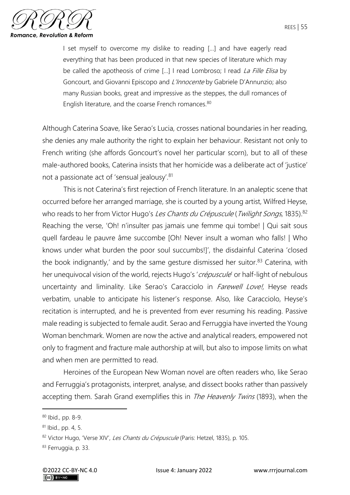

I set myself to overcome my dislike to reading […] and have eagerly read everything that has been produced in that new species of literature which may be called the apotheosis of crime [...] I read Lombroso; I read La Fille Elisa by Goncourt, and Giovanni Episcopo and L'Innocente by Gabriele D'Annunzio; also many Russian books, great and impressive as the steppes, the dull romances of English literature, and the coarse French romances.<sup>80</sup>

Although Caterina Soave, like Serao's Lucia, crosses national boundaries in her reading, she denies any male authority the right to explain her behaviour. Resistant not only to French writing (she affords Goncourt's novel her particular scorn), but to all of these male-authored books, Caterina insists that her homicide was a deliberate act of 'justice' not a passionate act of 'sensual jealousy'.<sup>81</sup>

This is not Caterina's first rejection of French literature. In an analeptic scene that occurred before her arranged marriage, she is courted by a young artist, Wilfred Heyse, who reads to her from Victor Hugo's Les Chants du Crépuscule (Twilight Songs, 1835).<sup>82</sup> Reaching the verse, 'Oh! n'insulter pas jamais une femme qui tombe! | Qui sait sous quell fardeau le pauvre âme succombe [Oh! Never insult a woman who falls! | Who knows under what burden the poor soul succumbs!]', the disdainful Caterina 'closed the book indignantly,' and by the same gesture dismissed her suitor. $83$  Caterina, with her unequivocal vision of the world, rejects Hugo's 'crépuscule' or half-light of nebulous uncertainty and liminality. Like Serao's Caracciolo in *Farewell Love!*, Heyse reads verbatim, unable to anticipate his listener's response. Also, like Caracciolo, Heyse's recitation is interrupted, and he is prevented from ever resuming his reading. Passive male reading is subjected to female audit. Serao and Ferruggia have inverted the Young Woman benchmark. Women are now the active and analytical readers, empowered not only to fragment and fracture male authorship at will, but also to impose limits on what and when men are permitted to read.

Heroines of the European New Woman novel are often readers who, like Serao and Ferruggia's protagonists, interpret, analyse, and dissect books rather than passively accepting them. Sarah Grand exemplifies this in *The Heavenly Twins* (1893), when the

<sup>80</sup> Ibid., pp. 8-9.

<sup>81</sup> Ibid., pp. 4, 5.

<sup>82</sup> Victor Hugo, 'Verse XIV', Les Chants du Crépuscule (Paris: Hetzel, 1835), p. 105.

<sup>83</sup> Ferruggia, p. 33.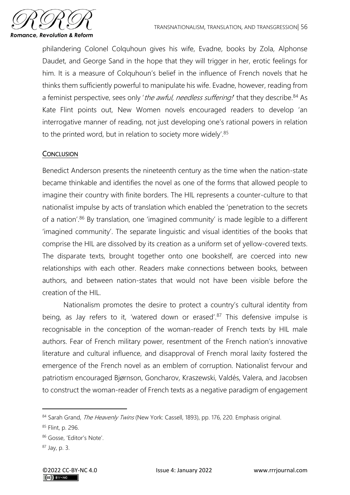

philandering Colonel Colquhoun gives his wife, Evadne, books by Zola, Alphonse Daudet, and George Sand in the hope that they will trigger in her, erotic feelings for him. It is a measure of Colquhoun's belief in the influence of French novels that he thinks them sufficiently powerful to manipulate his wife. Evadne, however, reading from a feminist perspective, sees only 'the awful, needless suffering! that they describe.<sup>84</sup> As Kate Flint points out, New Women novels encouraged readers to develop 'an interrogative manner of reading, not just developing one's rational powers in relation to the printed word, but in relation to society more widely'.<sup>85</sup>

# **CONCLUSION**

Benedict Anderson presents the nineteenth century as the time when the nation-state became thinkable and identifies the novel as one of the forms that allowed people to imagine their country with finite borders. The HIL represents a counter-culture to that nationalist impulse by acts of translation which enabled the 'penetration to the secrets of a nation'.<sup>86</sup> By translation, one 'imagined community' is made legible to a different 'imagined community'. The separate linguistic and visual identities of the books that comprise the HIL are dissolved by its creation as a uniform set of yellow-covered texts. The disparate texts, brought together onto one bookshelf, are coerced into new relationships with each other. Readers make connections between books, between authors, and between nation-states that would not have been visible before the creation of the HIL.

Nationalism promotes the desire to protect a country's cultural identity from being, as Jay refers to it, 'watered down or erased'.<sup>87</sup> This defensive impulse is recognisable in the conception of the woman-reader of French texts by HIL male authors. Fear of French military power, resentment of the French nation's innovative literature and cultural influence, and disapproval of French moral laxity fostered the emergence of the French novel as an emblem of corruption. Nationalist fervour and patriotism encouraged Bjørnson, Goncharov, Kraszewski, Valdés, Valera, and Jacobsen to construct the woman-reader of French texts as a negative paradigm of engagement

<sup>84</sup> Sarah Grand, The Heavenly Twins (New York: Cassell, 1893), pp. 176, 220. Emphasis original.

<sup>85</sup> Flint, p. 296.

<sup>86</sup> Gosse, 'Editor's Note'.

<sup>87</sup> Jay, p. 3.